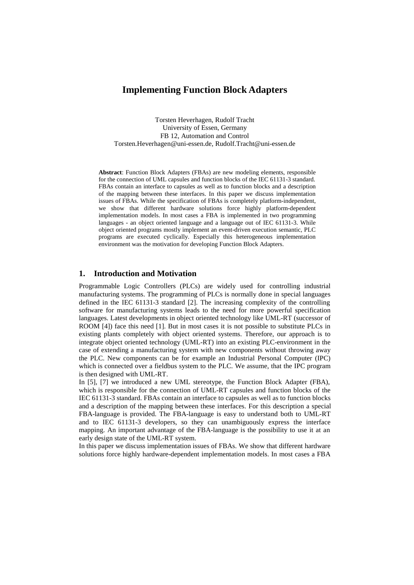# **Implementing Function Block Adapters**

Torsten Heverhagen, Rudolf Tracht University of Essen, Germany FB 12, Automation and Control Torsten.Heverhagen@uni-essen.de, Rudolf.Tracht@uni-essen.de

**Abstract**: Function Block Adapters (FBAs) are new modeling elements, responsible for the connection of UML capsules and function blocks of the IEC 61131-3 standard. FBAs contain an interface to capsules as well as to function blocks and a description of the mapping between these interfaces. In this paper we discuss implementation issues of FBAs. While the specification of FBAs is completely platform-independent, we show that different hardware solutions force highly platform-dependent implementation models. In most cases a FBA is implemented in two programming languages - an object oriented language and a language out of IEC 61131-3. While object oriented programs mostly implement an event-driven execution semantic, PLC programs are executed cyclically. Especially this heterogeneous implementation environment was the motivation for developing Function Block Adapters.

# **1. Introduction and Motivation**

Programmable Logic Controllers (PLCs) are widely used for controlling industrial manufacturing systems. The programming of PLCs is normally done in special languages defined in the IEC 61131-3 standard [2]. The increasing complexity of the controlling software for manufacturing systems leads to the need for more powerful specification languages. Latest developments in object oriented technology like UML-RT (successor of ROOM [4]) face this need [1]. But in most cases it is not possible to substitute PLCs in existing plants completely with object oriented systems. Therefore, our approach is to integrate object oriented technology (UML-RT) into an existing PLC-environment in the case of extending a manufacturing system with new components without throwing away the PLC. New components can be for example an Industrial Personal Computer (IPC) which is connected over a fieldbus system to the PLC. We assume, that the IPC program is then designed with UML-RT.

In [5], [7] we introduced a new UML stereotype, the Function Block Adapter (FBA), which is responsible for the connection of UML-RT capsules and function blocks of the IEC 61131-3 standard. FBAs contain an interface to capsules as well as to function blocks and a description of the mapping between these interfaces. For this description a special FBA-language is provided. The FBA-language is easy to understand both to UML-RT and to IEC 61131-3 developers, so they can unambiguously express the interface mapping. An important advantage of the FBA-language is the possibility to use it at an early design state of the UML-RT system.

In this paper we discuss implementation issues of FBAs. We show that different hardware solutions force highly hardware-dependent implementation models. In most cases a FBA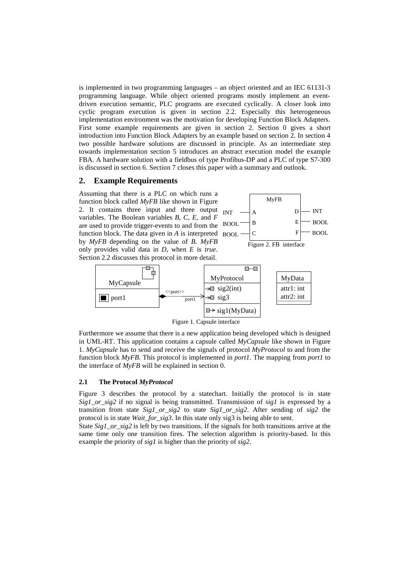is implemented in two programming languages – an object oriented and an IEC 61131-3 programming language. While object oriented programs mostly implement an eventdriven execution semantic, PLC programs are executed cyclically. A closer look into cyclic program execution is given in section 2.2. Especially this heterogeneous implementation environment was the motivation for developing Function Block Adapters. First some example requirements are given in section 2. Section 0 gives a short introduction into Function Block Adapters by an example based on section 2. In section 4 two possible hardware solutions are discussed in principle. As an intermediate step towards implementation section 5 introduces an abstract execution model the example FBA. A hardware solution with a fieldbus of type Profibus-DP and a PLC of type S7-300 is discussed in section 6. Section 7 closes this paper with a summary and outlook.

# **2. Example Requirements**

Assuming that there is a PLC on which runs a function block called *MyFB* like shown in Figure 2. It contains three input and three output variables. The Boolean variables *B, C, E*, and *F* are used to provide trigger-events to and from the function block. The data given in *A* is interpreted by *MyFB* depending on the value of *B*. *MyFB* only provides valid data in *D*, when *E* is *true*. Section 2.2 discusses this protocol in more detail.





Figure 1. Capsule interface

Furthermore we assume that there is a new application being developed which is designed in UML-RT. This application contains a capsule called *MyCapsule* like shown in Figure 1. *MyCapsule* has to send and receive the signals of protocol *MyProtocol* to and from the function block *MyFB*. This protocol is implemented in *port1*. The mapping from *port1* to the interface of *MyFB* will be explained in section 0.

#### **2.1 The Protocol** *MyProtocol*

Figure 3 describes the protocol by a statechart. Initially the protocol is in state *Sig1\_or\_sig2* if no signal is being transmitted. Transmission of *sig1* is expressed by a transition from state *Sig1\_or\_sig2* to state *Sig1\_or\_sig2*. After sending of *sig2* the protocol is in state *Wait\_for\_sig3*. In this state only sig3 is being able to sent.

State *Sig1\_or\_sig2* is left by two transitions. If the signals for both transitions arrive at the same time only one transition fires. The selection algorithm is priority-based. In this example the priority of *sig1* is higher than the priority of *sig2*.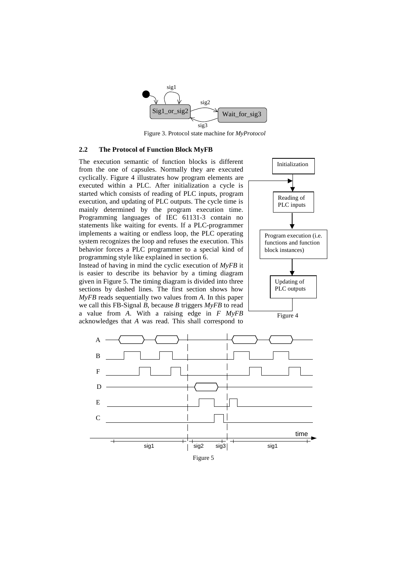

Figure 3. Protocol state machine for *MyProtocol*

#### **2.2 The Protocol of Function Block MyFB**

The execution semantic of function blocks is different from the one of capsules. Normally they are executed cyclically. Figure 4 illustrates how program elements are executed within a PLC. After initialization a cycle is started which consists of reading of PLC inputs, program execution, and updating of PLC outputs. The cycle time is mainly determined by the program execution time. Programming languages of IEC 61131-3 contain no statements like waiting for events. If a PLC-programmer implements a waiting or endless loop, the PLC operating system recognizes the loop and refuses the execution. This behavior forces a PLC programmer to a special kind of programming style like explained in section 6.

Instead of having in mind the cyclic execution of *MyFB* it is easier to describe its behavior by a timing diagram given in Figure 5. The timing diagram is divided into three sections by dashed lines. The first section shows how *MyFB* reads sequentially two values from *A*. In this paper we call this FB-Signal *B*, because *B* triggers *MyFB* to read a value from *A*. With a raising edge in *F MyFB* acknowledges that *A* was read. This shall correspond to



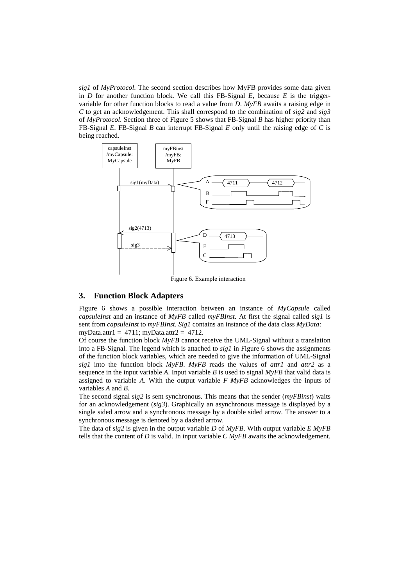*sig1* of *MyProtocol*. The second section describes how MyFB provides some data given in *D* for another function block. We call this FB-Signal *E*, because *E* is the triggervariable for other function blocks to read a value from *D*. *MyFB* awaits a raising edge in *C* to get an acknowledgement. This shall correspond to the combination of *sig2* and *sig3* of *MyProtocol*. Section three of Figure 5 shows that FB-Signal *B* has higher priority than FB-Signal *E*. FB-Signal *B* can interrupt FB-Signal *E* only until the raising edge of *C* is being reached.



Figure 6. Example interaction

#### **3. Function Block Adapters**

Figure 6 shows a possible interaction between an instance of *MyCapsule* called *capsuleInst* and an instance of *MyFB* called *myFBInst*. At first the signal called *sig1* is sent from *capsuleInst* to *myFBInst*. *Sig1* contains an instance of the data class *MyData*: myData.attr $1 = 4711$ ; myData.attr $2 = 4712$ .

Of course the function block *MyFB* cannot receive the UML-Signal without a translation into a FB-Signal. The legend which is attached to *sig1* in Figure 6 shows the assignments of the function block variables, which are needed to give the information of UML-Signal *sig1* into the function block *MyFB*. *MyFB* reads the values of *attr1* and *attr2* as a sequence in the input variable *A*. Input variable *B* is used to signal  $MvFB$  that valid data is assigned to variable *A*. With the output variable *F MyFB* acknowledges the inputs of variables *A* and *B*.

The second signal *sig2* is sent synchronous. This means that the sender (*myFBinst*) waits for an acknowledgement (*sig3*). Graphically an asynchronous message is displayed by a single sided arrow and a synchronous message by a double sided arrow. The answer to a synchronous message is denoted by a dashed arrow.

The data of *sig2* is given in the output variable *D* of *MyFB*. With output variable *E MyFB* tells that the content of *D* is valid. In input variable *C MyFB* awaits the acknowledgement.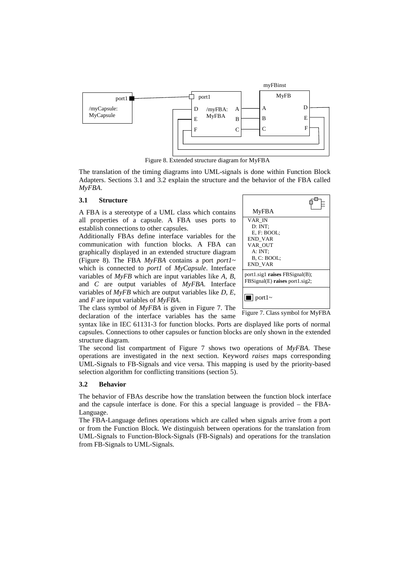

Figure 8. Extended structure diagram for MyFBA

The translation of the timing diagrams into UML-signals is done within Function Block Adapters. Sections 3.1 and 3.2 explain the structure and the behavior of the FBA called *MyFBA*.

#### **3.1 Structure**

A FBA is a stereotype of a UML class which contains all properties of a capsule. A FBA uses ports to establish connections to other capsules.

Additionally FBAs define interface variables for the communication with function blocks. A FBA can graphically displayed in an extended structure diagram (Figure 8). The FBA *MyFBA* contains a port *port1~* which is connected to *port1* of *MyCapsule*. Interface variables of *MyFB* which are input variables like *A, B*, and *C* are output variables of *MyFBA*. Interface variables of *MyFB* which are output variables like *D*, *E*, and *F* are input variables of *MyFBA*.



The class symbol of *MyFBA* is given in Figure 7. The declaration of the interface variables has the same

Figure 7. Class symbol for MyFBA

syntax like in IEC 61131-3 for function blocks. Ports are displayed like ports of normal capsules. Connections to other capsules or function blocks are only shown in the extended structure diagram.

The second list compartment of Figure 7 shows two operations of *MyFBA*. These operations are investigated in the next section. Keyword *raises* maps corresponding UML-Signals to FB-Signals and vice versa. This mapping is used by the priority-based selection algorithm for conflicting transitions (section 5).

#### **3.2 Behavior**

The behavior of FBAs describe how the translation between the function block interface and the capsule interface is done. For this a special language is provided – the FBA-Language.

The FBA-Language defines operations which are called when signals arrive from a port or from the Function Block. We distinguish between operations for the translation from UML-Signals to Function-Block-Signals (FB-Signals) and operations for the translation from FB-Signals to UML-Signals.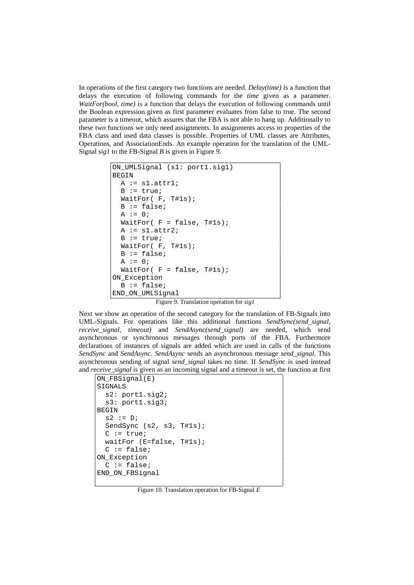In operations of the first category two functions are needed. *Delay(time)* is a function that delays the execution of following commands for the *time* given as a parameter. *WaitFor(bool, time)* is a function that delays the execution of following commands until the Boolean expression given as first parameter evaluates from false to true. The second parameter is a timeout, which assures that the FBA is not able to hang up. Additionally to these two functions we only need assignments. In assignments access to properties of the FBA class and used data classes is possible. Properties of UML classes are Attributes, Operations, and AssociationEnds. An example operation for the translation of the UML-Signal *sig1* to the FB-Signal *B* is given in Figure 9.

```
ON_UMLSignal (s1: port1.sig1)
BEGIN
  A := s1.attr1;
  B := true; WaitFor( F, T#1s);
 B := false;A := 0;WaitFor( F = false, T#1s);
 A := s1. \text{attr2};B := true; WaitFor( F, T#1s);
 B := false;A := 0;WaitFor(F = false, TH1s);
ON_Exception
 B := false;
END_ON_UMLSignal
```
Figure 9. Translation operation for *sig1*

Next we show an operation of the second category for the translation of FB-Signals into UML-Signals. For operations like this additional functions *SendSync(send\_signal, receive\_signal, timeout)* and *SendAsync(send\_signal)* are needed, which send asynchronous or synchronous messages through ports of the FBA. Furthermore declarations of instances of signals are added which are used in calls of the functions *SendSync* and *SendAsync*. *SendAsync* sends an asynchronous message *send\_signal*. This asynchronous sending of signal *send\_signal* takes no time. If *SendSync* is used instead and *receive\_signal* is given as an incoming signal and a timeout is set, the function at first

```
ON FBSignal(E)
SIGNALS
  s2: port1.sig2;
  s3: port1.sig3;
BEGIN
 s2 := D; SendSync (s2, s3, T#1s);
 C := true; waitFor (E=false, T#1s);
  C := false;
ON_Exception
 C := false;
END_ON_FBSignal
```
Figure 10. Translation operation for FB-Signal *E*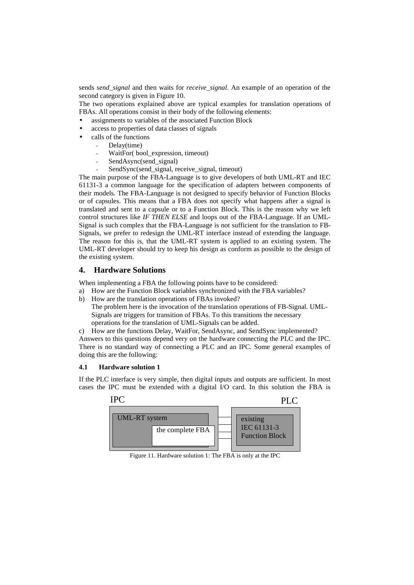sends *send\_signal* and then waits for *receive\_signal*. An example of an operation of the second category is given in Figure 10.

The two operations explained above are typical examples for translation operations of FBAs. All operations consist in their body of the following elements:

- assignments to variables of the associated Function Block
- access to properties of data classes of signals
- calls of the functions
	- Delay(time)
	- WaitFor( bool\_expression, timeout)
	- SendAsync(send\_signal)
	- SendSync(send\_signal, receive\_signal, timeout)

The main purpose of the FBA-Language is to give developers of both UML-RT and IEC 61131-3 a common language for the specification of adapters between components of their models. The FBA-Language is not designed to specify behavior of Function Blocks or of capsules. This means that a FBA does not specify what happens after a signal is translated and sent to a capsule or to a Function Block. This is the reason why we left control structures like *IF THEN ELSE* and loops out of the FBA-Language. If an UML-Signal is such complex that the FBA-Language is not sufficient for the translation to FB-Signals, we prefer to redesign the UML-RT interface instead of extending the language. The reason for this is, that the UML-RT system is applied to an existing system. The UML-RT developer should try to keep his design as conform as possible to the design of the existing system.

# **4. Hardware Solutions**

When implementing a FBA the following points have to be considered:

- a) How are the Function Block variables synchronized with the FBA variables?
- b) How are the translation operations of FBAs invoked?
	- The problem here is the invocation of the translation operations of FB-Signal. UML-Signals are triggers for transition of FBAs. To this transitions the necessary operations for the translation of UML-Signals can be added.
- c) How are the functions Delay, WaitFor, SendAsync, and SendSync implemented?

Answers to this questions depend very on the hardware connecting the PLC and the IPC. There is no standard way of connecting a PLC and an IPC. Some general examples of doing this are the following:

#### **4.1 Hardware solution 1**

If the PLC interface is very simple, then digital inputs and outputs are sufficient. In most cases the IPC must be extended with a digital I/O card. In this solution the FBA is



Figure 11. Hardware solution 1: The FBA is only at the IPC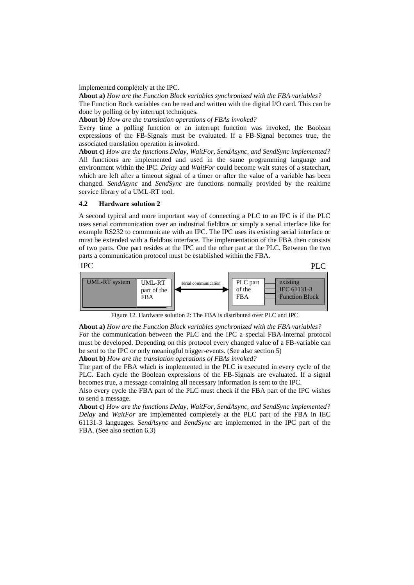implemented completely at the IPC.

**About a)** *How are the Function Block variables synchronized with the FBA variables?* The Function Bock variables can be read and written with the digital I/O card. This can be done by polling or by interrupt techniques.

**About b)** *How are the translation operations of FBAs invoked?*

Every time a polling function or an interrupt function was invoked, the Boolean expressions of the FB-Signals must be evaluated. If a FB-Signal becomes true, the associated translation operation is invoked.

**About c)** *How are the functions Delay, WaitFor, SendAsync, and SendSync implemented?* All functions are implemented and used in the same programming language and environment within the IPC. *Delay* and *WaitFor* could become wait states of a statechart, which are left after a timeout signal of a timer or after the value of a variable has been changed. *SendAsync* and *SendSync* are functions normally provided by the realtime service library of a UML-RT tool.

### **4.2 Hardware solution 2**

A second typical and more important way of connecting a PLC to an IPC is if the PLC uses serial communication over an industrial fieldbus or simply a serial interface like for example RS232 to communicate with an IPC. The IPC uses its existing serial interface or must be extended with a fieldbus interface. The implementation of the FBA then consists of two parts. One part resides at the IPC and the other part at the PLC. Between the two parts a communication protocol must be established within the FBA.

#### IPC

PLC



Figure 12. Hardware solution 2: The FBA is distributed over PLC and IPC

**About a)** *How are the Function Block variables synchronized with the FBA variables?* For the communication between the PLC and the IPC a special FBA-internal protocol must be developed. Depending on this protocol every changed value of a FB-variable can be sent to the IPC or only meaningful trigger-events. (See also section 5)

**About b)** *How are the translation operations of FBAs invoked?*

The part of the FBA which is implemented in the PLC is executed in every cycle of the PLC. Each cycle the Boolean expressions of the FB-Signals are evaluated. If a signal becomes true, a message containing all necessary information is sent to the IPC.

Also every cycle the FBA part of the PLC must check if the FBA part of the IPC wishes to send a message.

**About c)** *How are the functions Delay, WaitFor, SendAsync, and SendSync implemented? Delay* and *WaitFor* are implemented completely at the PLC part of the FBA in IEC 61131-3 languages. *SendAsync* and *SendSync* are implemented in the IPC part of the FBA. (See also section 6.3)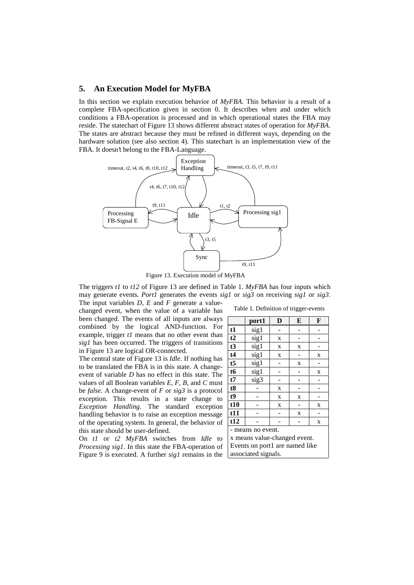# **5. An Execution Model for MyFBA**

In this section we explain execution behavior of *MyFBA*. This behavior is a result of a complete FBA-specification given in section 0. It describes when and under which conditions a FBA-operation is processed and in which operational states the FBA may reside. The statechart of Figure 13 shows different abstract states of operation for *MyFBA*. The states are abstract because they must be refined in different ways, depending on the hardware solution (see also section 4). This statechart is an implementation view of the FBA. It doesn't belong to the FBA-Language.



Figure 13. Execution model of MyFBA

The triggers *t1* to *t12* of Figure 13 are defined in Table 1. *MyFBA* has four inputs which may generate events. *Port1* generates the events *sig1* or *sig3* on receiving *sig1* or *sig3*. The input variables *D*, *E* and *F* generate a value-

changed event, when the value of a variable has been changed. The events of all inputs are always combined by the logical AND-function. For example, trigger *t1* means that no other event than *sig1* has been occurred. The triggers of transitions in Figure 13 are logical OR-connected.

The central state of Figure 13 is *Idle*. If nothing has to be translated the FBA is in this state. A changeevent of variable *D* has no effect in this state. The values of all Boolean variables *E, F, B*, and *C* must be *false*. A change-event of *F* or *sig3* is a protocol exception. This results in a state change to *Exception Handling*. The standard exception handling behavior is to raise an exception message of the operating system. In general, the behavior of this state should be user-defined.

On *t1* or *t2 MyFBA* switches from *Idle* to *Processing sig1*. In this state the FBA-operation of Figure 9 is executed. A further *sig1* remains in the associated signals.

|  |  |  |  |  | Table 1. Definition of trigger-events |
|--|--|--|--|--|---------------------------------------|
|--|--|--|--|--|---------------------------------------|

|                                | port1 | D | E | F |  |
|--------------------------------|-------|---|---|---|--|
| t1                             | sig1  |   |   |   |  |
| t2                             | sig1  | X |   |   |  |
| t3                             | sig1  | X | X |   |  |
| t4                             | sig1  | X |   | X |  |
| $t\overline{5}$                | sig1  |   | X |   |  |
| t6                             | sig1  |   |   | X |  |
| t7                             | sig3  |   |   |   |  |
| t8                             |       | X |   |   |  |
| t9                             |       | X | X |   |  |
| t10                            |       | X |   | X |  |
| t11                            |       |   | X |   |  |
| t12                            |       |   |   | X |  |
| - means no event.              |       |   |   |   |  |
| x means value-changed event.   |       |   |   |   |  |
| Events on port1 are named like |       |   |   |   |  |
| cocociotod cionele             |       |   |   |   |  |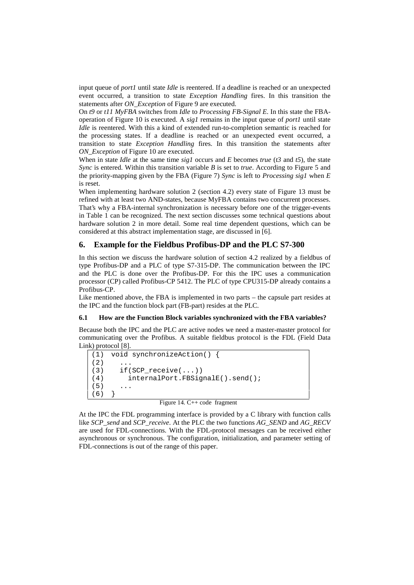input queue of *port1* until state *Idle* is reentered. If a deadline is reached or an unexpected event occurred, a transition to state *Exception Handling* fires. In this transition the statements after *ON\_Exception* of Figure 9 are executed.

On *t9* or *t11 MyFBA* switches from *Idle* to *Processing FB-Signal E*. In this state the FBAoperation of Figure 10 is executed. A *sig1* remains in the input queue of *port1* until state *Idle* is reentered. With this a kind of extended run-to-completion semantic is reached for the processing states. If a deadline is reached or an unexpected event occurred, a transition to state *Exception Handling* fires. In this transition the statements after *ON\_Exception* of Figure 10 are executed.

When in state *Idle* at the same time *sig1* occurs and *E* becomes *true* (*t3* and *t5*), the state *Sync* is entered. Within this transition variable *B* is set to *true*. According to Figure 5 and the priority-mapping given by the FBA (Figure 7) *Sync* is left to *Processing sig1* when *E* is reset.

When implementing hardware solution 2 (section 4.2) every state of Figure 13 must be refined with at least two AND-states, because MyFBA contains two concurrent processes. That's why a FBA-internal synchronization is necessary before one of the trigger-events in Table 1 can be recognized. The next section discusses some technical questions about hardware solution 2 in more detail. Some real time dependent questions, which can be considered at this abstract implementation stage, are discussed in [6].

# **6. Example for the Fieldbus Profibus-DP and the PLC S7-300**

In this section we discuss the hardware solution of section 4.2 realized by a fieldbus of type Profibus-DP and a PLC of type S7-315-DP. The communication between the IPC and the PLC is done over the Profibus-DP. For this the IPC uses a communication processor (CP) called Profibus-CP 5412. The PLC of type CPU315-DP already contains a Profibus-CP.

Like mentioned above, the FBA is implemented in two parts – the capsule part resides at the IPC and the function block part (FB-part) resides at the PLC.

#### **6.1 How are the Function Block variables synchronized with the FBA variables?**

Because both the IPC and the PLC are active nodes we need a master-master protocol for communicating over the Profibus. A suitable fieldbus protocol is the FDL (Field Data Link) protocol [8].

```
(1) void synchronizeAction() {
(2) ...<br>(3) if (
       if(SCP \text{ receive}(...))(4) internalPort.FBSignalE().send();
(5)(6)
```
Figure 14. C++ code fragment

At the IPC the FDL programming interface is provided by a C library with function calls like *SCP\_send* and *SCP\_receive*. At the PLC the two functions *AG\_SEND* and *AG\_RECV* are used for FDL-connections. With the FDL-protocol messages can be received either asynchronous or synchronous. The configuration, initialization, and parameter setting of FDL-connections is out of the range of this paper.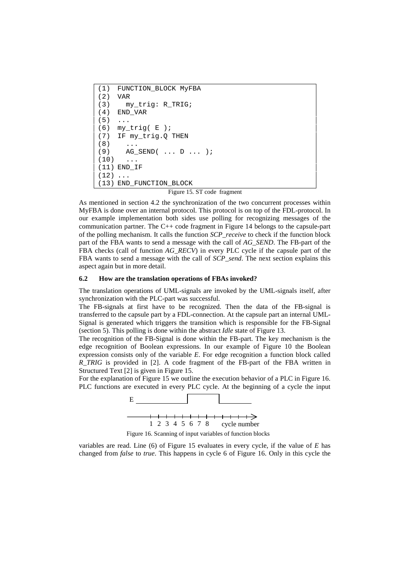```
(1) FUNCTION_BLOCK MyFBA
(2) VAR
(3) my_trig: R_TRIG;
(4) END_VAR
(5) ...
(6) my_trig( E );
(7) IF my_trig.Q THEN
(8) ...
(9) AG SEND( \ldots D \ldots );
(10) \ldots(11) END_IF
(12) ...
(13) END_FUNCTION_BLOCK
```
Figure 15. ST code fragment

As mentioned in section 4.2 the synchronization of the two concurrent processes within MyFBA is done over an internal protocol. This protocol is on top of the FDL-protocol. In our example implementation both sides use polling for recognizing messages of the communication partner. The C++ code fragment in Figure 14 belongs to the capsule-part of the polling mechanism. It calls the function *SCP\_receive* to check if the function block part of the FBA wants to send a message with the call of *AG\_SEND*. The FB-part of the FBA checks (call of function *AG\_RECV*) in every PLC cycle if the capsule part of the FBA wants to send a message with the call of *SCP\_send*. The next section explains this aspect again but in more detail.

#### **6.2 How are the translation operations of FBAs invoked?**

The translation operations of UML-signals are invoked by the UML-signals itself, after synchronization with the PLC-part was successful.

The FB-signals at first have to be recognized. Then the data of the FB-signal is transferred to the capsule part by a FDL-connection. At the capsule part an internal UML-Signal is generated which triggers the transition which is responsible for the FB-Signal (section 5). This polling is done within the abstract *Idle* state of Figure 13.

The recognition of the FB-Signal is done within the FB-part. The key mechanism is the edge recognition of Boolean expressions. In our example of Figure 10 the Boolean expression consists only of the variable *E*. For edge recognition a function block called *R\_TRIG* is provided in [2]. A code fragment of the FB-part of the FBA written in Structured Text [2] is given in Figure 15.

For the explanation of Figure 15 we outline the execution behavior of a PLC in Figure 16. PLC functions are executed in every PLC cycle. At the beginning of a cycle the input



Figure 16. Scanning of input variables of function blocks

variables are read. Line (6) of Figure 15 evaluates in every cycle, if the value of *E* has changed from *false* to *true*. This happens in cycle 6 of Figure 16. Only in this cycle the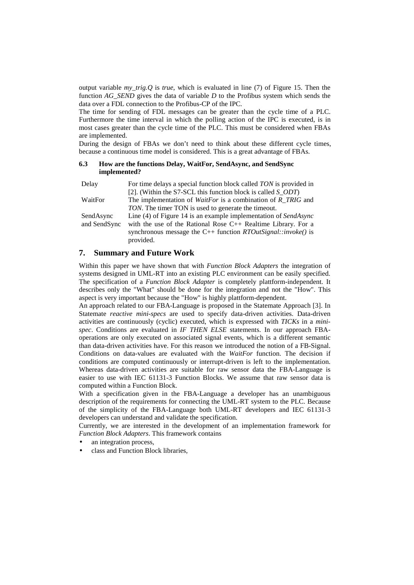output variable *my\_trig.Q* is *true*, which is evaluated in line (7) of Figure 15. Then the function *AG\_SEND* gives the data of variable *D* to the Profibus system which sends the data over a FDL connection to the Profibus-CP of the IPC.

The time for sending of FDL messages can be greater than the cycle time of a PLC. Furthermore the time interval in which the polling action of the IPC is executed, is in most cases greater than the cycle time of the PLC. This must be considered when FBAs are implemented.

During the design of FBAs we don't need to think about these different cycle times, because a continuous time model is considered. This is a great advantage of FBAs.

### **6.3 How are the functions Delay, WaitFor, SendAsync, and SendSync implemented?**

| Delay        | For time delays a special function block called TON is provided in                       |
|--------------|------------------------------------------------------------------------------------------|
|              | [2]. (Within the S7-SCL this function block is called $S\_ODT$ )                         |
| WaitFor      | The implementation of <i>WaitFor</i> is a combination of $R$ <sub><i>_TRIG</i></sub> and |
|              | TON. The timer TON is used to generate the timeout.                                      |
| SendAsync    | Line (4) of Figure 14 is an example implementation of SendAsync                          |
| and SendSync | with the use of the Rational Rose $C_{++}$ Realtime Library. For a                       |
|              | synchronous message the C++ function $RTOu$ t Signal::invoke() is                        |
|              | provided.                                                                                |

# **7. Summary and Future Work**

Within this paper we have shown that with *Function Block Adapters* the integration of systems designed in UML-RT into an existing PLC environment can be easily specified. The specification of a *Function Block Adapter* is completely plattform-independent. It describes only the "What" should be done for the integration and not the "How". This aspect is very important because the "How" is highly plattform-dependent.

An approach related to our FBA-Language is proposed in the Statemate Approach [3]. In Statemate *reactive mini-specs* are used to specify data-driven activities. Data-driven activities are continuously (cyclic) executed, which is expressed with *TICKs* in a *minispec*. Conditions are evaluated in *IF THEN ELSE* statements. In our approach FBAoperations are only executed on associated signal events, which is a different semantic than data-driven activities have. For this reason we introduced the notion of a FB-Signal. Conditions on data-values are evaluated with the *WaitFor* function. The decision if conditions are computed continuously or interrupt-driven is left to the implementation. Whereas data-driven activities are suitable for raw sensor data the FBA-Language is easier to use with IEC 61131-3 Function Blocks. We assume that raw sensor data is computed within a Function Block.

With a specification given in the FBA-Language a developer has an unambiguous description of the requirements for connecting the UML-RT system to the PLC. Because of the simplicity of the FBA-Language both UML-RT developers and IEC 61131-3 developers can understand and validate the specification.

Currently, we are interested in the development of an implementation framework for *Function Block Adapters*. This framework contains

- an integration process,
- class and Function Block libraries,